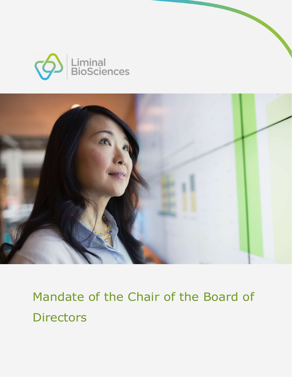



Mandate of the Chair of the Board of **Directors**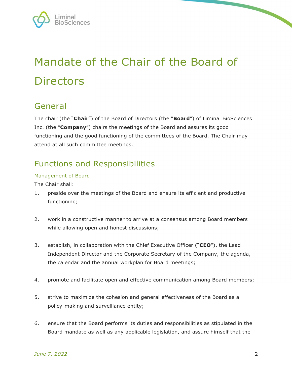

# Mandate of the Chair of the Board of **Directors**

## General

The chair (the "Chair") of the Board of Directors (the "Board") of Liminal BioSciences Inc. (the "**Company**") chairs the meetings of the Board and assures its good functioning and the good functioning of the committees of the Board. The Chair may attend at all such committee meetings.

## Functions and Responsibilities

#### Management of Board

The Chair shall:

- 1. preside over the meetings of the Board and ensure its efficient and productive functioning;
- 2. work in a constructive manner to arrive at a consensus among Board members while allowing open and honest discussions;
- 3. establish, in collaboration with the Chief Executive Officer ("CEO"), the Lead Independent Director and the Corporate Secretary of the Company, the agenda, the calendar and the annual workplan for Board meetings;
- 4. promote and facilitate open and effective communication among Board members;
- 5. strive to maximize the cohesion and general effectiveness of the Board as a policy-making and surveillance entity;
- 6. ensure that the Board performs its duties and responsibilities as stipulated in the Board mandate as well as any applicable legislation, and assure himself that the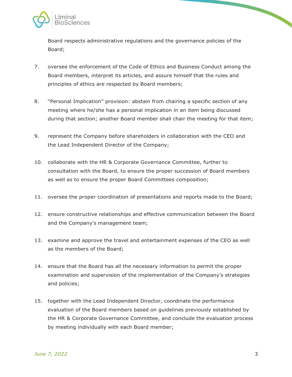

Board respects administrative regulations and the governance policies of the Board;

- 7. oversee the enforcement of the Code of Ethics and Business Conduct among the Board members, interpret its articles, and assure himself that the rules and principles of ethics are respected by Board members;
- 8. "Personal Implication" provision: abstain from chairing a specific section of any meeting where he/she has a personal implication in an item being discussed during that section; another Board member shall chair the meeting for that item;
- 9. represent the Company before shareholders in collaboration with the CEO and the Lead Independent Director of the Company;
- 10. collaborate with the HR & Corporate Governance Committee, further to consultation with the Board, to ensure the proper succession of Board members as well as to ensure the proper Board Committees composition;
- 11. oversee the proper coordination of presentations and reports made to the Board;
- 12. ensure constructive relationships and effective communication between the Board and the Company's management team;
- 13. examine and approve the travel and entertainment expenses of the CEO as well as the members of the Board;
- 14. ensure that the Board has all the necessary information to permit the proper examination and supervision of the implementation of the Company's strategies and policies;
- 15. together with the Lead Independent Director, coordinate the performance evaluation of the Board members based on guidelines previously established by the HR & Corporate Governance Committee, and conclude the evaluation process by meeting individually with each Board member;

 $\overline{\phantom{0}}$